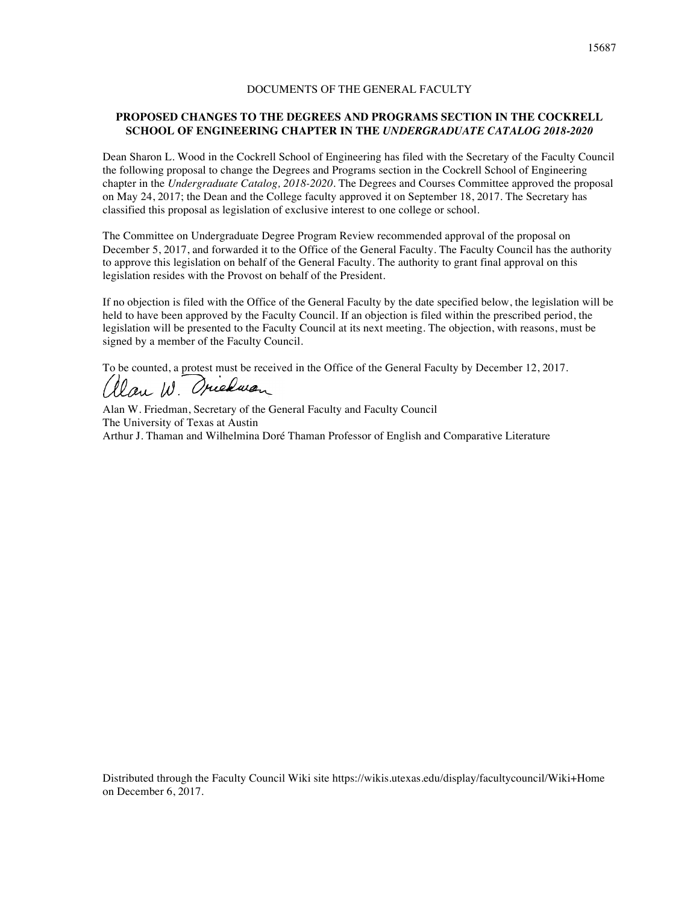# DOCUMENTS OF THE GENERAL FACULTY

# **PROPOSED CHANGES TO THE DEGREES AND PROGRAMS SECTION IN THE COCKRELL SCHOOL OF ENGINEERING CHAPTER IN THE** *UNDERGRADUATE CATALOG 2018-2020*

Dean Sharon L. Wood in the Cockrell School of Engineering has filed with the Secretary of the Faculty Council the following proposal to change the Degrees and Programs section in the Cockrell School of Engineering chapter in the *Undergraduate Catalog, 2018-2020*. The Degrees and Courses Committee approved the proposal on May 24, 2017; the Dean and the College faculty approved it on September 18, 2017. The Secretary has classified this proposal as legislation of exclusive interest to one college or school.

The Committee on Undergraduate Degree Program Review recommended approval of the proposal on December 5, 2017, and forwarded it to the Office of the General Faculty. The Faculty Council has the authority to approve this legislation on behalf of the General Faculty. The authority to grant final approval on this legislation resides with the Provost on behalf of the President.

If no objection is filed with the Office of the General Faculty by the date specified below, the legislation will be held to have been approved by the Faculty Council. If an objection is filed within the prescribed period, the legislation will be presented to the Faculty Council at its next meeting. The objection, with reasons, must be signed by a member of the Faculty Council.

To be counted, a protest must be received in the Office of the General Faculty by December 12, 2017.

Clan W. Oriedwan

Alan W. Friedman, Secretary of the General Faculty and Faculty Council The University of Texas at Austin Arthur J. Thaman and Wilhelmina Doré Thaman Professor of English and Comparative Literature

Distributed through the Faculty Council Wiki site https://wikis.utexas.edu/display/facultycouncil/Wiki+Home on December 6, 2017.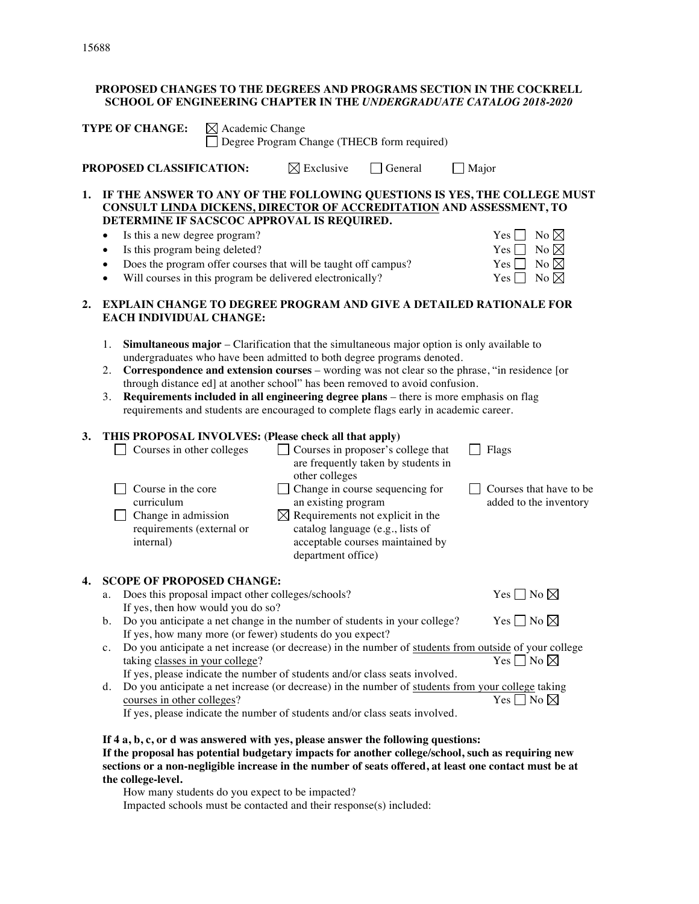# **PROPOSED CHANGES TO THE DEGREES AND PROGRAMS SECTION IN THE COCKRELL SCHOOL OF ENGINEERING CHAPTER IN THE** *UNDERGRADUATE CATALOG 2018-2020*

|    |                                          | <b>TYPE OF CHANGE:</b>                                                                                                                                                                                                                                                                                                                                                                                                                                                                                                                                                                                                                                        | $\boxtimes$ Academic Change                                                                                                | Degree Program Change (THECB form required)                                                                                                                                                                                                                                                                                                                                                |                                                                                                                                                                                      |                                                                                                                                                                                                                                                                                                                             |  |  |  |
|----|------------------------------------------|---------------------------------------------------------------------------------------------------------------------------------------------------------------------------------------------------------------------------------------------------------------------------------------------------------------------------------------------------------------------------------------------------------------------------------------------------------------------------------------------------------------------------------------------------------------------------------------------------------------------------------------------------------------|----------------------------------------------------------------------------------------------------------------------------|--------------------------------------------------------------------------------------------------------------------------------------------------------------------------------------------------------------------------------------------------------------------------------------------------------------------------------------------------------------------------------------------|--------------------------------------------------------------------------------------------------------------------------------------------------------------------------------------|-----------------------------------------------------------------------------------------------------------------------------------------------------------------------------------------------------------------------------------------------------------------------------------------------------------------------------|--|--|--|
|    |                                          | <b>PROPOSED CLASSIFICATION:</b>                                                                                                                                                                                                                                                                                                                                                                                                                                                                                                                                                                                                                               |                                                                                                                            | $\boxtimes$ Exclusive                                                                                                                                                                                                                                                                                                                                                                      | $\Box$ General                                                                                                                                                                       | $\Box$ Major                                                                                                                                                                                                                                                                                                                |  |  |  |
| 1. | $\bullet$<br>٠<br>$\bullet$<br>$\bullet$ | Is this a new degree program?<br>Is this program being deleted?                                                                                                                                                                                                                                                                                                                                                                                                                                                                                                                                                                                               |                                                                                                                            | DETERMINE IF SACSCOC APPROVAL IS REQUIRED.<br>Does the program offer courses that will be taught off campus?<br>Will courses in this program be delivered electronically?                                                                                                                                                                                                                  |                                                                                                                                                                                      | IF THE ANSWER TO ANY OF THE FOLLOWING QUESTIONS IS YES, THE COLLEGE MUST<br>CONSULT LINDA DICKENS, DIRECTOR OF ACCREDITATION AND ASSESSMENT, TO<br>No $\boxtimes$<br>Yes <sub>1</sub><br>No $\boxtimes$<br>$Yes$ $\Box$<br>No $\boxtimes$<br>$Yes$  <br>No $\boxtimes$<br>$Yes$ $\Box$                                      |  |  |  |
| 2. | 1.<br>2.<br>3.                           | <b>EXPLAIN CHANGE TO DEGREE PROGRAM AND GIVE A DETAILED RATIONALE FOR</b><br><b>EACH INDIVIDUAL CHANGE:</b><br><b>Simultaneous major</b> – Clarification that the simultaneous major option is only available to<br>undergraduates who have been admitted to both degree programs denoted.<br>Correspondence and extension courses - wording was not clear so the phrase, "in residence [or<br>through distance ed] at another school" has been removed to avoid confusion.<br>Requirements included in all engineering degree plans - there is more emphasis on flag<br>requirements and students are encouraged to complete flags early in academic career. |                                                                                                                            |                                                                                                                                                                                                                                                                                                                                                                                            |                                                                                                                                                                                      |                                                                                                                                                                                                                                                                                                                             |  |  |  |
| 3. | $\mathsf{L}$                             | Courses in other colleges<br>Course in the core<br>curriculum<br>Change in admission<br>requirements (external or<br>internal)                                                                                                                                                                                                                                                                                                                                                                                                                                                                                                                                |                                                                                                                            | THIS PROPOSAL INVOLVES: (Please check all that apply)<br>other colleges<br>an existing program<br>$\boxtimes$ Requirements not explicit in the<br>department office)                                                                                                                                                                                                                       | Courses in proposer's college that<br>are frequently taken by students in<br>Change in course sequencing for<br>catalog language (e.g., lists of<br>acceptable courses maintained by | Flags<br>Courses that have to be<br>added to the inventory                                                                                                                                                                                                                                                                  |  |  |  |
| 4. | a.<br>$c_{\cdot}$<br>d.                  | taking classes in your college?<br>courses in other colleges?                                                                                                                                                                                                                                                                                                                                                                                                                                                                                                                                                                                                 | <b>SCOPE OF PROPOSED CHANGE:</b><br>Does this proposal impact other colleges/schools?<br>If yes, then how would you do so? | b. Do you anticipate a net change in the number of students in your college?<br>If yes, how many more (or fewer) students do you expect?<br>If yes, please indicate the number of students and/or class seats involved.<br>If yes, please indicate the number of students and/or class seats involved.<br>If 4 a, b, c, or d was answered with yes, please answer the following questions: |                                                                                                                                                                                      | Yes $\square$ No $\square$<br>Yes $\square$ No $\square$<br>Do you anticipate a net increase (or decrease) in the number of students from outside of your college<br>Yes $\Box$ No $\boxtimes$<br>Do you anticipate a net increase (or decrease) in the number of students from your college taking<br>Yes $\neg$ No $\neg$ |  |  |  |
|    |                                          |                                                                                                                                                                                                                                                                                                                                                                                                                                                                                                                                                                                                                                                               |                                                                                                                            |                                                                                                                                                                                                                                                                                                                                                                                            |                                                                                                                                                                                      | If the proposal has potential budgetary impacts for another college/school, such as requiring new<br>sections or a non-negligible increase in the number of seats offered, at least one contact must be at                                                                                                                  |  |  |  |

**the college-level.**

How many students do you expect to be impacted?

Impacted schools must be contacted and their response(s) included: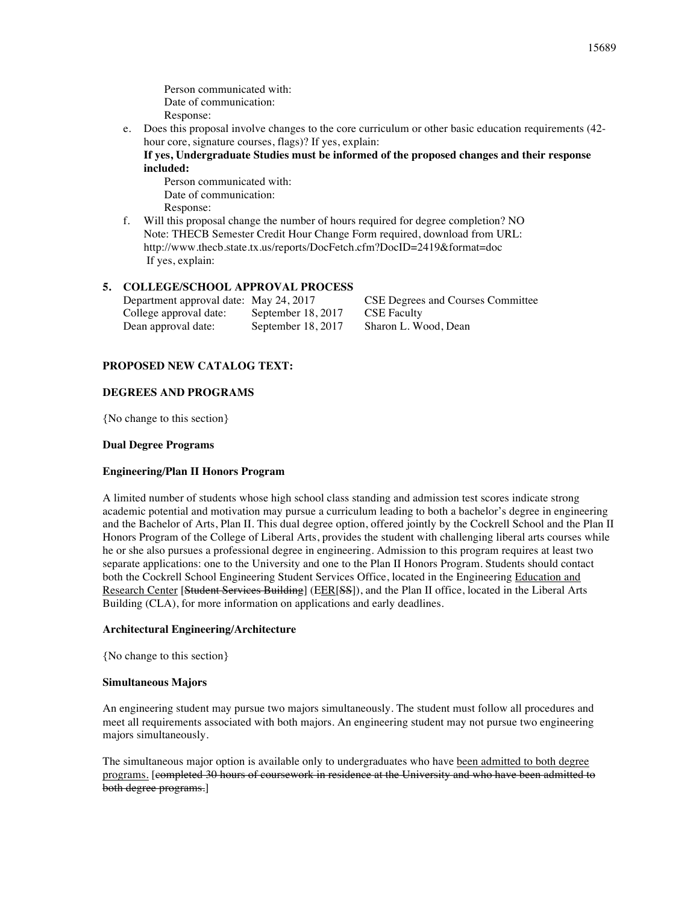- Person communicated with: Date of communication: Response:
- e. Does this proposal involve changes to the core curriculum or other basic education requirements (42 hour core, signature courses, flags)? If yes, explain:

**If yes, Undergraduate Studies must be informed of the proposed changes and their response included:**

Person communicated with: Date of communication: Response:

f. Will this proposal change the number of hours required for degree completion? NO Note: THECB Semester Credit Hour Change Form required, download from URL: http://www.thecb.state.tx.us/reports/DocFetch.cfm?DocID=2419&format=doc If yes, explain:

### **5. COLLEGE/SCHOOL APPROVAL PROCESS**

| Department approval date: May 24, 2017 |                    | CSE Degrees and Courses Committee |
|----------------------------------------|--------------------|-----------------------------------|
| College approval date:                 | September 18, 2017 | <b>CSE</b> Faculty                |
| Dean approval date:                    | September 18, 2017 | Sharon L. Wood, Dean              |

## **PROPOSED NEW CATALOG TEXT:**

### **DEGREES AND PROGRAMS**

{No change to this section}

#### **Dual Degree Programs**

### **Engineering/Plan II Honors Program**

A limited number of students whose high school class standing and admission test scores indicate strong academic potential and motivation may pursue a curriculum leading to both a bachelor's degree in engineering and the Bachelor of Arts, Plan II. This dual degree option, offered jointly by the Cockrell School and the Plan II Honors Program of the College of Liberal Arts, provides the student with challenging liberal arts courses while he or she also pursues a professional degree in engineering. Admission to this program requires at least two separate applications: one to the University and one to the Plan II Honors Program. Students should contact both the Cockrell School Engineering Student Services Office, located in the Engineering Education and Research Center [Student Services Building] (EER[SS]), and the Plan II office, located in the Liberal Arts Building (CLA), for more information on applications and early deadlines.

### **Architectural Engineering/Architecture**

{No change to this section}

#### **Simultaneous Majors**

An engineering student may pursue two majors simultaneously. The student must follow all procedures and meet all requirements associated with both majors. An engineering student may not pursue two engineering majors simultaneously.

The simultaneous major option is available only to undergraduates who have been admitted to both degree programs. [completed 30 hours of coursework in residence at the University and who have been admitted to both degree programs.]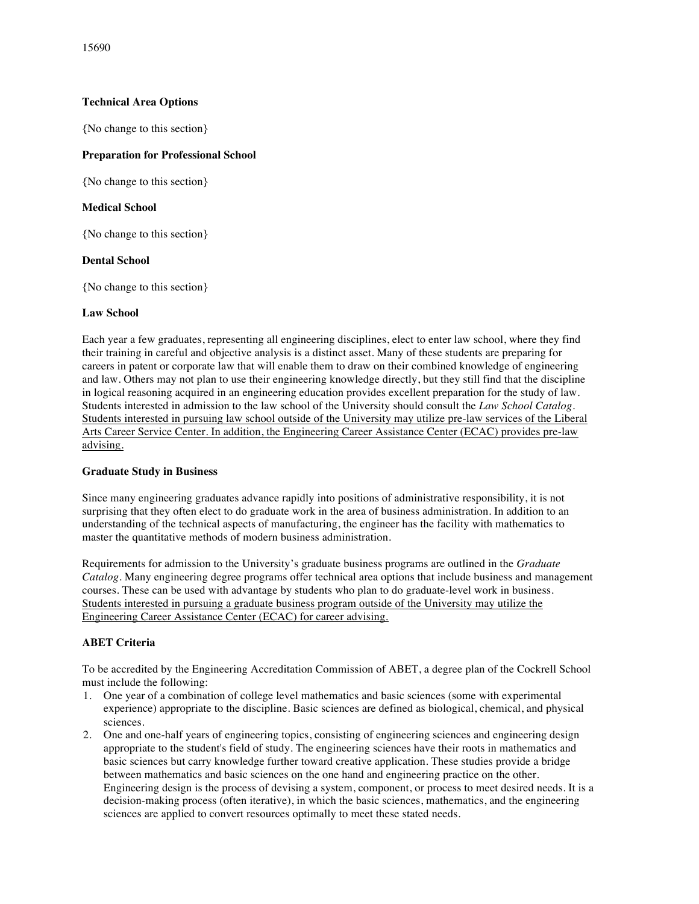## **Technical Area Options**

{No change to this section}

## **Preparation for Professional School**

{No change to this section}

# **Medical School**

{No change to this section}

## **Dental School**

{No change to this section}

## **Law School**

Each year a few graduates, representing all engineering disciplines, elect to enter law school, where they find their training in careful and objective analysis is a distinct asset. Many of these students are preparing for careers in patent or corporate law that will enable them to draw on their combined knowledge of engineering and law. Others may not plan to use their engineering knowledge directly, but they still find that the discipline in logical reasoning acquired in an engineering education provides excellent preparation for the study of law. Students interested in admission to the law school of the University should consult the *Law School Catalog*. Students interested in pursuing law school outside of the University may utilize pre-law services of the Liberal Arts Career Service Center. In addition, the Engineering Career Assistance Center (ECAC) provides pre-law advising.

# **Graduate Study in Business**

Since many engineering graduates advance rapidly into positions of administrative responsibility, it is not surprising that they often elect to do graduate work in the area of business administration. In addition to an understanding of the technical aspects of manufacturing, the engineer has the facility with mathematics to master the quantitative methods of modern business administration.

Requirements for admission to the University's graduate business programs are outlined in the *Graduate Catalog*. Many engineering degree programs offer technical area options that include business and management courses. These can be used with advantage by students who plan to do graduate-level work in business. Students interested in pursuing a graduate business program outside of the University may utilize the Engineering Career Assistance Center (ECAC) for career advising.

# **ABET Criteria**

To be accredited by the Engineering Accreditation Commission of ABET, a degree plan of the Cockrell School must include the following:

- 1. One year of a combination of college level mathematics and basic sciences (some with experimental experience) appropriate to the discipline. Basic sciences are defined as biological, chemical, and physical sciences.
- 2. One and one-half years of engineering topics, consisting of engineering sciences and engineering design appropriate to the student's field of study. The engineering sciences have their roots in mathematics and basic sciences but carry knowledge further toward creative application. These studies provide a bridge between mathematics and basic sciences on the one hand and engineering practice on the other. Engineering design is the process of devising a system, component, or process to meet desired needs. It is a decision-making process (often iterative), in which the basic sciences, mathematics, and the engineering sciences are applied to convert resources optimally to meet these stated needs.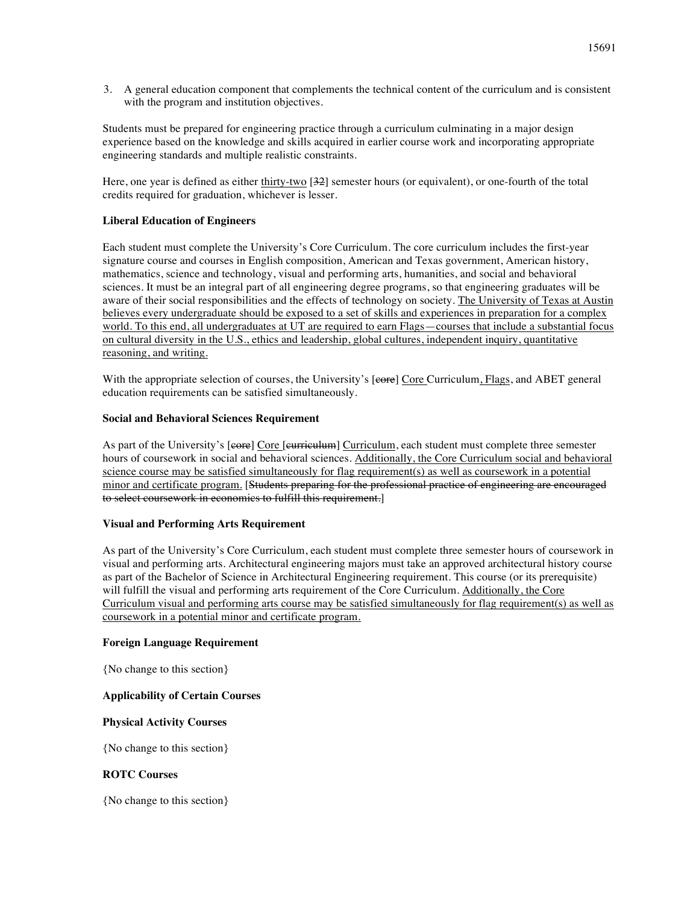3. A general education component that complements the technical content of the curriculum and is consistent with the program and institution objectives.

Students must be prepared for engineering practice through a curriculum culminating in a major design experience based on the knowledge and skills acquired in earlier course work and incorporating appropriate engineering standards and multiple realistic constraints.

Here, one year is defined as either thirty-two [32] semester hours (or equivalent), or one-fourth of the total credits required for graduation, whichever is lesser.

## **Liberal Education of Engineers**

Each student must complete the University's Core Curriculum. The core curriculum includes the first-year signature course and courses in English composition, American and Texas government, American history, mathematics, science and technology, visual and performing arts, humanities, and social and behavioral sciences. It must be an integral part of all engineering degree programs, so that engineering graduates will be aware of their social responsibilities and the effects of technology on society. The University of Texas at Austin believes every undergraduate should be exposed to a set of skills and experiences in preparation for a complex world. To this end, all undergraduates at UT are required to earn Flags—courses that include a substantial focus on cultural diversity in the U.S., ethics and leadership, global cultures, independent inquiry, quantitative reasoning, and writing.

With the appropriate selection of courses, the University's [eore] Core Curriculum, Flags, and ABET general education requirements can be satisfied simultaneously.

### **Social and Behavioral Sciences Requirement**

As part of the University's [eore] Core [eurriculum] Curriculum, each student must complete three semester hours of coursework in social and behavioral sciences. Additionally, the Core Curriculum social and behavioral science course may be satisfied simultaneously for flag requirement(s) as well as coursework in a potential minor and certificate program. [Students preparing for the professional practice of engineering are encouraged to select coursework in economics to fulfill this requirement.]

### **Visual and Performing Arts Requirement**

As part of the University's Core Curriculum, each student must complete three semester hours of coursework in visual and performing arts. Architectural engineering majors must take an approved architectural history course as part of the Bachelor of Science in Architectural Engineering requirement. This course (or its prerequisite) will fulfill the visual and performing arts requirement of the Core Curriculum. Additionally, the Core Curriculum visual and performing arts course may be satisfied simultaneously for flag requirement(s) as well as coursework in a potential minor and certificate program.

### **Foreign Language Requirement**

{No change to this section}

### **Applicability of Certain Courses**

### **Physical Activity Courses**

{No change to this section}

### **ROTC Courses**

{No change to this section}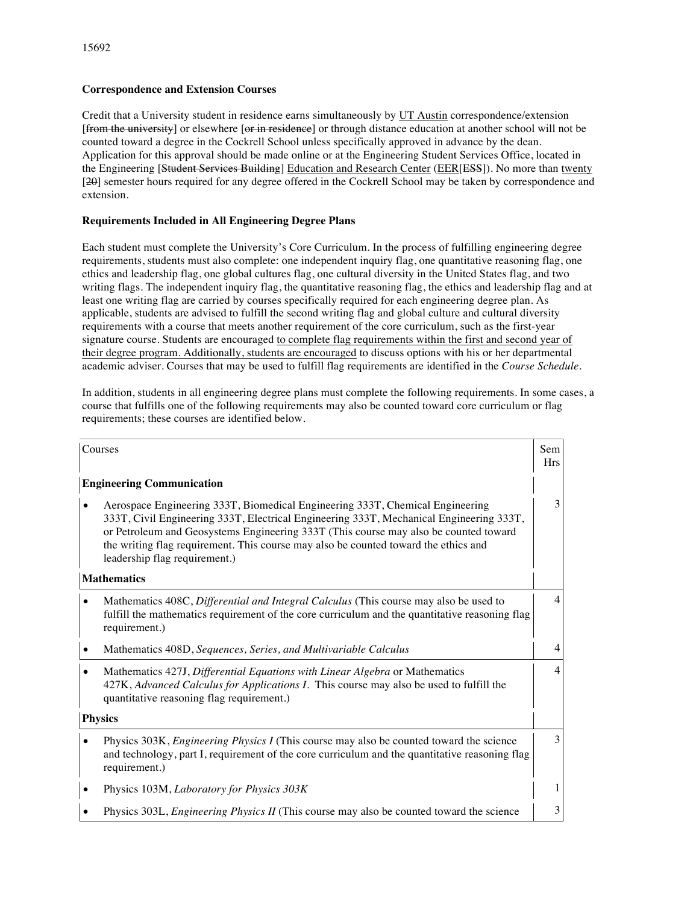## **Correspondence and Extension Courses**

Credit that a University student in residence earns simultaneously by UT Austin correspondence/extension [from the university] or elsewhere [or in residence] or through distance education at another school will not be counted toward a degree in the Cockrell School unless specifically approved in advance by the dean. Application for this approval should be made online or at the Engineering Student Services Office, located in the Engineering [Student Services Building] Education and Research Center (EER[ESS]). No more than twenty [20] semester hours required for any degree offered in the Cockrell School may be taken by correspondence and extension.

# **Requirements Included in All Engineering Degree Plans**

Each student must complete the University's Core Curriculum. In the process of fulfilling engineering degree requirements, students must also complete: one independent inquiry flag, one quantitative reasoning flag, one ethics and leadership flag, one global cultures flag, one cultural diversity in the United States flag, and two writing flags. The independent inquiry flag, the quantitative reasoning flag, the ethics and leadership flag and at least one writing flag are carried by courses specifically required for each engineering degree plan. As applicable, students are advised to fulfill the second writing flag and global culture and cultural diversity requirements with a course that meets another requirement of the core curriculum, such as the first-year signature course. Students are encouraged to complete flag requirements within the first and second year of their degree program. Additionally, students are encouraged to discuss options with his or her departmental academic adviser. Courses that may be used to fulfill flag requirements are identified in the *Course Schedule*.

In addition, students in all engineering degree plans must complete the following requirements. In some cases, a course that fulfills one of the following requirements may also be counted toward core curriculum or flag requirements; these courses are identified below.

| Courses                          |                                                                                                                                                                                                                                                                                                                                                                                          |   |  |  |  |
|----------------------------------|------------------------------------------------------------------------------------------------------------------------------------------------------------------------------------------------------------------------------------------------------------------------------------------------------------------------------------------------------------------------------------------|---|--|--|--|
| <b>Engineering Communication</b> |                                                                                                                                                                                                                                                                                                                                                                                          |   |  |  |  |
|                                  | Aerospace Engineering 333T, Biomedical Engineering 333T, Chemical Engineering<br>333T, Civil Engineering 333T, Electrical Engineering 333T, Mechanical Engineering 333T,<br>or Petroleum and Geosystems Engineering 333T (This course may also be counted toward<br>the writing flag requirement. This course may also be counted toward the ethics and<br>leadership flag requirement.) | 3 |  |  |  |
|                                  | <b>Mathematics</b>                                                                                                                                                                                                                                                                                                                                                                       |   |  |  |  |
|                                  | Mathematics 408C, Differential and Integral Calculus (This course may also be used to<br>fulfill the mathematics requirement of the core curriculum and the quantitative reasoning flag<br>requirement.)                                                                                                                                                                                 | 4 |  |  |  |
| $\bullet$                        | Mathematics 408D, Sequences, Series, and Multivariable Calculus                                                                                                                                                                                                                                                                                                                          | 4 |  |  |  |
|                                  | Mathematics 427J, Differential Equations with Linear Algebra or Mathematics<br>427K, Advanced Calculus for Applications I. This course may also be used to fulfill the<br>quantitative reasoning flag requirement.)                                                                                                                                                                      | 4 |  |  |  |
|                                  | <b>Physics</b>                                                                                                                                                                                                                                                                                                                                                                           |   |  |  |  |
|                                  | Physics 303K, <i>Engineering Physics I</i> (This course may also be counted toward the science<br>and technology, part I, requirement of the core curriculum and the quantitative reasoning flag<br>requirement.)                                                                                                                                                                        | 3 |  |  |  |
|                                  | Physics 103M, Laboratory for Physics 303K                                                                                                                                                                                                                                                                                                                                                |   |  |  |  |
|                                  | Physics 303L, Engineering Physics II (This course may also be counted toward the science                                                                                                                                                                                                                                                                                                 | 3 |  |  |  |